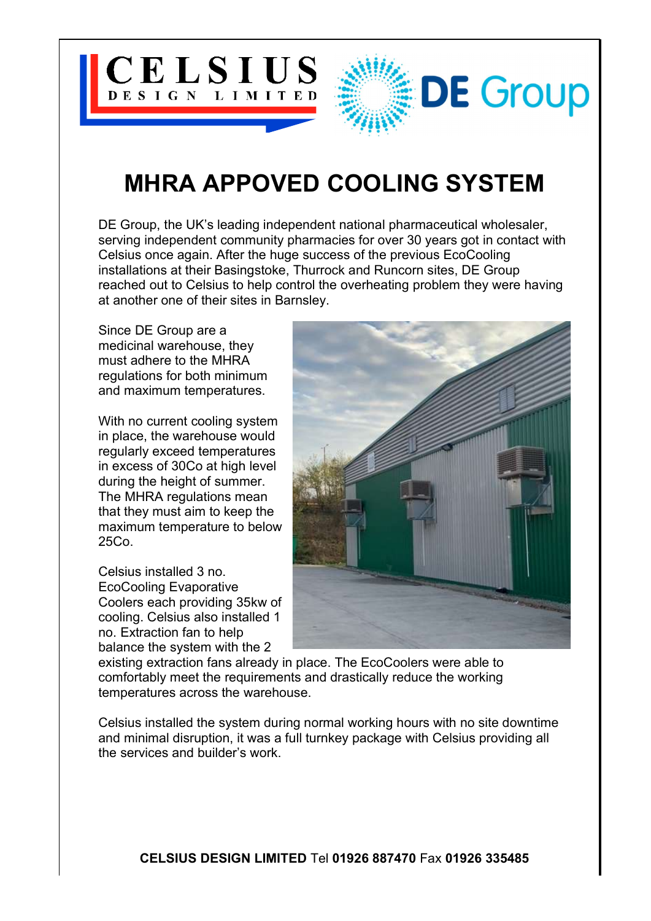

## MHRA APPOVED COOLING SYSTEM

DE Group, the UK's leading independent national pharmaceutical wholesaler, serving independent community pharmacies for over 30 years got in contact with Celsius once again. After the huge success of the previous EcoCooling installations at their Basingstoke, Thurrock and Runcorn sites, DE Group reached out to Celsius to help control the overheating problem they were having at another one of their sites in Barnsley.

Since DE Group are a medicinal warehouse, they must adhere to the MHRA regulations for both minimum and maximum temperatures.

With no current cooling system in place, the warehouse would regularly exceed temperatures in excess of 30Co at high level during the height of summer. The MHRA regulations mean that they must aim to keep the maximum temperature to below 25Co.

Celsius installed 3 no. EcoCooling Evaporative Coolers each providing 35kw of cooling. Celsius also installed 1 no. Extraction fan to help balance the system with the 2



existing extraction fans already in place. The EcoCoolers were able to comfortably meet the requirements and drastically reduce the working temperatures across the warehouse.

Celsius installed the system during normal working hours with no site downtime and minimal disruption, it was a full turnkey package with Celsius providing all the services and builder's work.